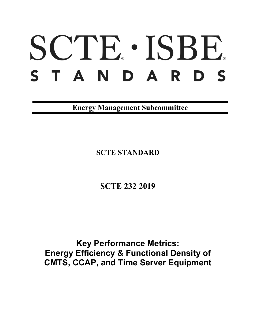# SCTE · ISBE. S T A N D A R D S

**Energy Management Subcommittee**

**SCTE STANDARD**

**SCTE 232 2019**

**Key Performance Metrics: Energy Efficiency & Functional Density of CMTS, CCAP, and Time Server Equipment**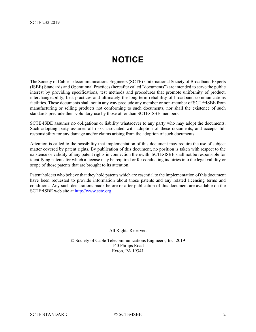# **NOTICE**

<span id="page-1-0"></span>The Society of Cable Telecommunications Engineers (SCTE) / International Society of Broadband Experts (ISBE) Standards and Operational Practices (hereafter called "documents") are intended to serve the public interest by providing specifications, test methods and procedures that promote uniformity of product, interchangeability, best practices and ultimately the long-term reliability of broadband communications facilities. These documents shall not in any way preclude any member or non-member of SCTE•ISBE from manufacturing or selling products not conforming to such documents, nor shall the existence of such standards preclude their voluntary use by those other than SCTE•ISBE members.

SCTE•ISBE assumes no obligations or liability whatsoever to any party who may adopt the documents. Such adopting party assumes all risks associated with adoption of these documents, and accepts full responsibility for any damage and/or claims arising from the adoption of such documents.

Attention is called to the possibility that implementation of this document may require the use of subject matter covered by patent rights. By publication of this document, no position is taken with respect to the existence or validity of any patent rights in connection therewith. SCTE•ISBE shall not be responsible for identifying patents for which a license may be required or for conducting inquiries into the legal validity or scope of those patents that are brought to its attention.

Patent holders who believe that they hold patents which are essential to the implementation of this document have been requested to provide information about those patents and any related licensing terms and conditions. Any such declarations made before or after publication of this document are available on the SCTE•ISBE web site at [http://www.scte.org.](http://www.scte.org/)

All Rights Reserved

© Society of Cable Telecommunications Engineers, Inc. 2019 140 Philips Road Exton, PA 19341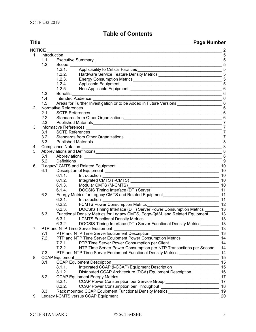## **Table of Contents**

| <b>Title</b>  |      | <b>Page Number</b>                                                                                                    |                 |
|---------------|------|-----------------------------------------------------------------------------------------------------------------------|-----------------|
| <b>NOTICE</b> |      | <u> 1989 - Johann Barbara, marka a shekara ta 1989 - An tsara tsara tsara tsara tsara tsara tsara tsara tsara tsa</u> | $\overline{2}$  |
| 1.            |      | Introduction                                                                                                          | 5               |
|               | 1.1. |                                                                                                                       | 5               |
|               | 1.2. | Scope ___                                                                                                             | 5               |
|               |      | 1.2.1.                                                                                                                | 5               |
|               |      | 1.2.2.                                                                                                                |                 |
|               |      | 1.2.3.                                                                                                                |                 |
|               |      | 1.2.4.                                                                                                                |                 |
|               |      | 1.2.5.                                                                                                                |                 |
|               | 1.3. | <b>Benefits</b>                                                                                                       | $6\phantom{1}6$ |
|               | 1.4. | $\frac{1}{2}$ 6<br>Intended Audience                                                                                  |                 |
|               | 1.5. | Areas for Further Investigation or to be Added in Future Versions __________________________________ 6                |                 |
| 2.            |      |                                                                                                                       |                 |
|               | 2.1. |                                                                                                                       |                 |
|               | 2.2. |                                                                                                                       | 6               |
|               | 2.3. | Published Materials                                                                                                   | $\overline{7}$  |
| 3.            |      |                                                                                                                       | $\overline{7}$  |
|               | 3.1. | <b>SCTE References</b>                                                                                                | $\overline{7}$  |
|               |      |                                                                                                                       | $\overline{7}$  |
|               |      |                                                                                                                       |                 |
| 4.            |      |                                                                                                                       | 8               |
| 5.            |      | Abbreviations and Definitions                                                                                         | 8               |
|               |      |                                                                                                                       | 8               |
|               |      | 5.2. Definitions                                                                                                      | 9               |
| 6.            |      | "Legacy" CMTS and Related Equipment                                                                                   | 10              |
|               | 6.1. |                                                                                                                       | 10              |
|               |      | 6.1.1.<br>Introduction                                                                                                | 10              |
|               |      | Integrated CMTS (I-CMTS)<br>6.1.2.                                                                                    | 10              |
|               |      | 6.1.3.<br>Modular CMTS (M-CMTS)                                                                                       | 10              |
|               |      | 6.1.4.                                                                                                                | 11              |
|               | 6.2. | Energy Metrics for Legacy CMTS and Related Equipment ____________________________ 11                                  |                 |
|               |      | 6.2.1.<br>Introduction                                                                                                | 11              |
|               |      | <b>I-CMTS Power Consumption Metrics</b><br>6.2.2.                                                                     | 12              |
|               |      | DOCSIS Timing Interface (DTI) Server Power Consumption Metrics _______ 13<br>6.2.3.                                   |                 |
|               | 6.3. | Functional Density Metrics for Legacy CMTS, Edge-QAM, and Related Equipment ____ 13                                   |                 |
|               |      | 6.3.1.<br><b>I-CMTS Functional Density Metrics</b>                                                                    | 13              |
|               |      | 6.3.2.<br>DOCSIS Timing Interface (DTI) Server Functional Density Metrics                                             | 13              |
|               |      | PTP and NTP Time Server Equipment _______________                                                                     | 13              |
|               | 7.1. | PTP and NTP Time Server Equipment Description                                                                         | 13              |
|               | 7.2. | PTP and NTP Time Server Equipment Power Consumption Metrics ____________________                                      | 14              |
|               |      | PTP Time Server Power Consumption per Client ___________________________________<br>7.2.1.                            | 14              |
|               |      | NTP Time Server Power Consumption per NTP Transactions per Second<br>7.2.2.                                           | 14              |
|               | 7.3. | PTP and NTP Time Server Equipment Functional Density Metrics ___________________                                      | 14              |
| 8.            |      | <b>CCAP Equipment</b>                                                                                                 | 15              |
|               | 8.1. | <b>CCAP Equipment Description</b>                                                                                     | 15              |
|               |      | Integrated CCAP (I-CCAP) Equipment Description _________________________________<br>8.1.1.                            | 15              |
|               |      | 8.1.2.<br>Distributed CCAP Architecture (DCA) Equipment Description                                                   | 16              |
|               | 8.2. | <b>CCAP Equipment Energy Metrics</b>                                                                                  | 17              |
|               |      | 8.2.1.                                                                                                                | 17              |
|               |      | 8.2.2.                                                                                                                | 18              |
|               | 8.3. | Rack mounted CCAP Equipment Functional Density Metrics ___________________                                            | 19              |
|               |      |                                                                                                                       |                 |

9. Legacy I-CMTS versus CCAP Equipment [\\_\\_\\_\\_\\_\\_\\_\\_\\_\\_\\_\\_\\_\\_\\_\\_\\_\\_\\_\\_\\_\\_\\_\\_\\_\\_\\_\\_\\_\\_\\_\\_\\_\\_\\_\\_\\_\\_\\_\\_\\_\\_\\_](#page-19-0) 20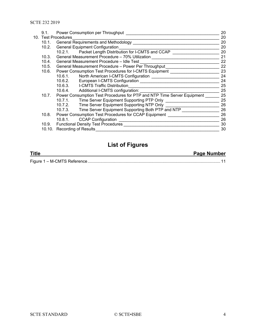| 9.1.                | Power Consumption per Throughput                                        | 20 |
|---------------------|-------------------------------------------------------------------------|----|
| 10. Test Procedures |                                                                         |    |
| 10.1.               | General Requirements and Methodology                                    | 20 |
| 10.2.               | <b>General Equipment Configuration</b>                                  | 20 |
|                     | 10.2.1. Packet Length Distribution for I-CMTS and CCAP                  | 20 |
| 10.3.               | General Measurement Procedure - 70% Utilization                         | 21 |
| 10.4.               | General Measurement Procedure - Idle Test                               | 22 |
|                     | 10.5. General Measurement Procedure - Power Per Throughput              | 22 |
| 10.6.               | Power Consumption Test Procedures for I-CMTS Equipment                  | 23 |
|                     |                                                                         | 24 |
|                     | 10.6.2.                                                                 | 24 |
|                     | 10.6.3. I-CMTS Traffic Distribution                                     | 25 |
|                     | 10.6.4. Additional I-CMTS configuration:                                | 25 |
| 10.7.               | Power Consumption Test Procedures for PTP and NTP Time Server Equipment | 25 |
|                     | 10.7.1. Time Server Equipment Supporting PTP Only                       | 25 |
|                     | 10.7.2. Time Server Equipment Supporting NTP Only                       | 26 |
|                     | 10.7.3. Time Server Equipment Supporting Both PTP and NTP               | 26 |
| 10.8.               | Power Consumption Test Procedures for CCAP Equipment                    | 26 |
|                     | 10.8.1. CCAP Configuration                                              | 26 |
| 10.9.               | Functional Density Test Procedures _________________                    | 30 |
|                     | 10.10. Recording of Results                                             | 30 |

## **List of Figures**

| <b>Title</b>                | Page Number |
|-----------------------------|-------------|
| Figure 1 – M-CMTS Reference |             |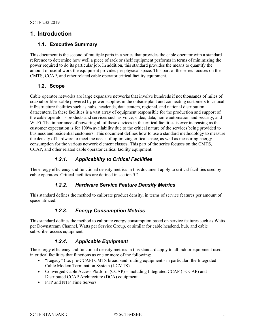## <span id="page-4-1"></span><span id="page-4-0"></span>**1. Introduction**

#### **1.1. Executive Summary**

This document is the second of multiple parts in a series that provides the cable operator with a standard reference to determine how well a piece of rack or shelf equipment performs in terms of minimizing the power required to do its particular job. In addition, this standard provides the means to quantify the amount of useful work the equipment provides per physical space. This part of the series focuses on the CMTS, CCAP, and other related cable operator critical facility equipment.

#### <span id="page-4-2"></span>**1.2. Scope**

Cable operator networks are large expansive networks that involve hundreds if not thousands of miles of coaxial or fiber cable powered by power supplies in the outside plant and connecting customers to critical infrastructure facilities such as hubs, headends, data centers, regional, and national distribution datacenters. In these facilities is a vast array of equipment responsible for the production and support of the cable operator's products and services such as voice, video, data, home automation and security, and Wi-Fi. The importance of powering all of these devices in the critical facilities is ever increasing as the customer expectation is for 100% availability due to the critical nature of the services being provided to business and residential customers. This document defines how to use a standard methodology to measure the density of hardware to meet the needs of optimizing critical space, as well as measuring energy consumption for the various network element classes. This part of the series focuses on the CMTS, CCAP, and other related cable operator critical facility equipment.

#### *1.2.1. Applicability to Critical Facilities*

<span id="page-4-4"></span><span id="page-4-3"></span>The energy efficiency and functional density metrics in this document apply to critical facilities used by cable operators. Critical facilities are defined in section [5.2.](#page-8-0)

#### *1.2.2. Hardware Service Feature Density Metrics*

<span id="page-4-5"></span>This standard defines the method to calibrate product density, in terms of service features per amount of space utilized.

#### *1.2.3. Energy Consumption Metrics*

This standard defines the method to calibrate energy consumption based on service features such as Watts per Downstream Channel, Watts per Service Group, or similar for cable headend, hub, and cable subscriber access equipment.

#### *1.2.4. Applicable Equipment*

<span id="page-4-6"></span>The energy efficiency and functional density metrics in this standard apply to all indoor equipment used in critical facilities that functions as one or more of the following:

- "Legacy" (i.e. pre-CCAP) CMTS broadband routing equipment in particular, the Integrated Cable Modem Termination System (I-CMTS)
- Converged Cable Access Platform (CCAP) including Integrated CCAP (I-CCAP) and Distributed CCAP Architecture (DCA) equipment
- PTP and NTP Time Servers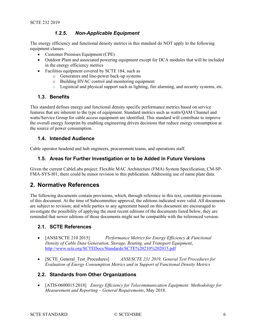#### *1.2.5. Non-Applicable Equipment*

<span id="page-5-0"></span>The energy efficiency and functional density metrics in this standard do NOT apply to the following equipment classes.

- Customer Premises Equipment (CPE)
- Outdoor Plant and associated powering equipment except for DCA modules that will be included in the energy efficiency metrics
- Facilities equipment covered by SCTE 184, such as
	- o Generators and line-power back-up systems
	- o Building HVAC control and monitoring equipment
	- o Logistical and physical support such as lighting, fire alarming, and security systems, etc.

#### <span id="page-5-1"></span>**1.3. Benefits**

This standard defines energy and functional density specific performance metrics based on service features that are inherent to the type of equipment. Standard metrics such as watts/QAM Channel and watts/Service Group for cable access equipment are identified. This standard will contribute to improve the overall energy footprint by enabling engineering driven decisions that reduce energy consumption at the source of power consumption.

#### <span id="page-5-2"></span>**1.4. Intended Audience**

<span id="page-5-3"></span>Cable operator headend and hub engineers, procurement teams, and operations staff.

#### **1.5. Areas for Further Investigation or to be Added in Future Versions**

Given the current CableLabs project: Flexible MAC Architecture (FMA) System Specification, CM-SP-FMA-SYS-I01, there could be minor revision to this publication. Addressing use of name plate data.

## <span id="page-5-4"></span>**2. Normative References**

The following documents contain provisions, which, through reference in this text, constitute provisions of this document. At the time of Subcommittee approval, the editions indicated were valid. All documents are subject to revision; and while parties to any agreement based on this document are encouraged to investigate the possibility of applying the most recent editions of the documents listed below, they are reminded that newer editions of those documents might not be compatible with the referenced version.

#### <span id="page-5-5"></span>**2.1. SCTE References**

- [ANSI/SCTE 210 2015] *Performance Metrics for Energy Efficiency & Functional Density of Cable Data Generation, Storage, Routing, and Transport Equipment*, <http://www.scte.org/SCTEDocs/Standards/SCTE%20210%202015.pdf>
- [SCTE\_General\_Test\_Procedures] *ANSI/SCTE 231 2019, General Test Procedures for Evaluation of Energy Consumption Metrics and in Support of Functional Density Metrics*

#### <span id="page-5-6"></span>**2.2. Standards from Other Organizations**

• [ATIS-0600015.2018] *Energy Efficiency for Telecommunication Equipment: Methodology for Measurement and Reporting – General Requirements*, May 2018.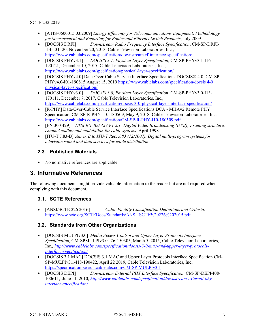- [ATIS-0600015.03.2009] *Energy Efficiency for Telecommunications Equipment: Methodology for Measurement and Reporting for Router and Ethernet Switch Products*, July 2009.
- [DOCSIS DRFI] *Downstream Radio Frequency Interface Specification*, CM-SP-DRFI-I14-131120, November 20, 2013, Cable Television Laboratories, Inc., <https://www.cablelabs.com/specification/downstream-rf-interface-specification/>
- [DOCSIS PHYv3.1] *DOCSIS 3.1, Physical Layer Specification*, CM-SP-PHYv3.1-I16- 190121, December 10, 2015, Cable Television Laboratories, Inc., <https://www.cablelabs.com/specification/physical-layer-specification/>
- [DOCSIS PHYv4.0] Data-Over-Cable Service Interface Specifications DOCSIS® 4.0, CM-SP-PHYv4.0-I01-190815 August 15, 2019 [https://www.cablelabs.com/specification/docsis 4-0](https://www.cablelabs.com/specification/docsis%204-0%20physical-layer-specification/)  [physical-layer-specification/](https://www.cablelabs.com/specification/docsis%204-0%20physical-layer-specification/)
- [DOCSIS PHYv3.0] *DOCSIS 3.0, Physical Layer Specification*, CM-SP-PHYv3.0-I13- 170111, December 7, 2017, Cable Television Laboratories, Inc., <https://www.cablelabs.com/specification/docsis-3-0-physical-layer-interface-specification/>
- [R-PHY] Data-Over-Cable Service Interface Specifications DCA MHAv2 Remote PHY Specification, CM-SP-R-PHY-I10-180509, May 9, 2018, Cable Television Laboratories, Inc. <https://www.cablelabs.com/specification/CM-SP-R-PHY-I10-180509.pdf>
- [EN 300 429] *ETSI EN 300 429 V1.2.1: Digital Video Broadcasting (DVB); Framing structure, channel coding and modulation for cable systems*, April 1998.
- [ITU-T J.83-B] *Annex B to ITU-T Rec. J.83 (12/2007), Digital multi-program systems for television sound and data services for cable distribution*.

#### <span id="page-6-0"></span>**2.3. Published Materials**

• No normative references are applicable.

## <span id="page-6-1"></span>**3. Informative References**

The following documents might provide valuable information to the reader but are not required when complying with this document.

#### <span id="page-6-2"></span>**3.1. SCTE References**

• [ANSI/SCTE 226 2016] *Cable Facility Classification Definitions and Criteria,*  [https://www.scte.org/SCTEDocs/Standards/ANSI\\_SCTE%20226%202015.pdf](https://www.scte.org/SCTEDocs/Standards/ANSI_SCTE%20226%202015.pdf)*.* 

#### <span id="page-6-3"></span>**3.2. Standards from Other Organizations**

- [DOCSIS MULPIv3.0] *Media Access Control and Upper Layer Protocols Interface Specification,* CM-SPMULPIv3.0-I26-150305, March 5, 2015, Cable Television Laboratories, Inc.*, [http://www.cablelabs.com/specification/docsis-3-0-mac-and-upper-layer-protocols](http://www.cablelabs.com/specification/docsis-3-0-mac-and-upper-layer-protocols-interface-specification/)[interface-specification/](http://www.cablelabs.com/specification/docsis-3-0-mac-and-upper-layer-protocols-interface-specification/)*
- [DOCSIS 3.1 MAC] DOCSIS 3.1 MAC and Upper Layer Protocols Interface Specification CM-SP-MULPIv3.1-I18-190422, April 22 2019, Cable Television Laboratories, Inc.*,* <https://specification-search.cablelabs.com/CM-SP-MULPIv3.1>
- [DOCSIS DEPI] *Downstream External PHY Interface Specification,* CM-SP-DEPI-I08- 100611, June 11, 2010, *[http://www.cablelabs.com/specification/downstream-external-phy](http://www.cablelabs.com/specification/downstream-external-phy-interface-specification/)[interface-specification/](http://www.cablelabs.com/specification/downstream-external-phy-interface-specification/)*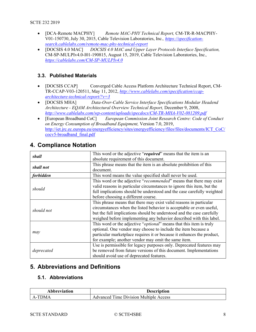- [DCA-Remote MACPHY] *Remote MAC-PHY Technical Report,* CM-TR-R-MACPHY-V01-150730, July 30, 2015, Cable Television Laboratories, Inc.*, [https://specification](https://specification-search.cablelabs.com/remote-mac-phy-technical-report)[search.cablelabs.com/remote-mac-phy-technical-report](https://specification-search.cablelabs.com/remote-mac-phy-technical-report)*
- [DOCSIS 4.0 MAC] *DOCSIS 4.0 MAC and Upper Layer Protocols Interface Specification,*  CM-SP-MULPIv4.0-I01-190815, August 15, 2019, Cable Television Laboratories, Inc.*, [https://cablelabs.com/CM-SP-MULPIv4.0](https://specification-search.cablelabs.com/CM-SP-MULPIv4.0)*

#### <span id="page-7-0"></span>**3.3. Published Materials**

- [DOCSIS CCAP] Converged Cable Access Platform Architecture Technical Report, CM-TR-CCAP-V03-120511, May 11, 2012, *[http://www.cablelabs.com/specification/ccap](http://www.cablelabs.com/specification/ccap-architecture-technical-report/?v=3)[architecture-technical-report/?v=3](http://www.cablelabs.com/specification/ccap-architecture-technical-report/?v=3)*
- [DOCSIS MHA] *Data-Over-Cable Service Interface Specifications Modular Headend Architecture - EQAM Architectural Overview Technical Report,* December 9, 2008, *<http://www.cablelabs.com/wp-content/uploads/specdocs/CM-TR-MHA-V02-081209.pdf>*
- [European Broadband CoC] *European Commission Joint Research Centre: Code of Conduct on Energy Consumption of Broadband Equipment,* Version 7.0, 2019, [http://iet.jrc.ec.europa.eu/energyefficiency/sites/energyefficiency/files/files/documents/ICT\\_CoC/](http://iet.jrc.ec.europa.eu/energyefficiency/sites/energyefficiency/files/files/documents/ICT_CoC/cocv5-broadband_final.pdf) [cocv5-broadband\\_final.pdf](http://iet.jrc.ec.europa.eu/energyefficiency/sites/energyefficiency/files/files/documents/ICT_CoC/cocv5-broadband_final.pdf)

| This word or the adjective "required" means that the item is an<br>shall<br>absolute requirement of this document.<br>This phrase means that the item is an absolute prohibition of this<br>shall not |
|-------------------------------------------------------------------------------------------------------------------------------------------------------------------------------------------------------|
|                                                                                                                                                                                                       |
|                                                                                                                                                                                                       |
|                                                                                                                                                                                                       |
| document.                                                                                                                                                                                             |
| This word means the value specified shall never be used.<br>forbidden                                                                                                                                 |
| This word or the adjective "recommended" means that there may exist                                                                                                                                   |
| valid reasons in particular circumstances to ignore this item, but the                                                                                                                                |
| should<br>full implications should be understood and the case carefully weighted                                                                                                                      |
| before choosing a different course.                                                                                                                                                                   |
| This phrase means that there may exist valid reasons in particular                                                                                                                                    |
| circumstances when the listed behavior is acceptable or even useful,                                                                                                                                  |
| should not<br>but the full implications should be understood and the case carefully                                                                                                                   |
| weighed before implementing any behavior described with this label.                                                                                                                                   |
| This word or the adjective " <i>optional</i> " means that this item is truly                                                                                                                          |
| optional. One vendor may choose to include the item because a                                                                                                                                         |
| may<br>particular marketplace requires it or because it enhances the product,                                                                                                                         |
| for example; another vendor may omit the same item.                                                                                                                                                   |
| Use is permissible for legacy purposes only. Deprecated features may                                                                                                                                  |
| be removed from future versions of this document. Implementations<br>deprecated                                                                                                                       |
| should avoid use of deprecated features.                                                                                                                                                              |

## <span id="page-7-1"></span>**4. Compliance Notation**

## <span id="page-7-2"></span>**5. Abbreviations and Definitions**

#### <span id="page-7-3"></span>**5.1. Abbreviations**

| <b>Abbreviation</b>  | Description                            |
|----------------------|----------------------------------------|
| <b>TDMA</b><br>$A -$ | Advanced Time Division Multiple Access |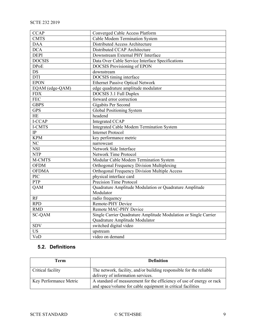| <b>CCAP</b>            | Converged Cable Access Platform                                  |  |
|------------------------|------------------------------------------------------------------|--|
| <b>CMTS</b>            | <b>Cable Modem Termination System</b>                            |  |
| <b>DAA</b>             | Distributed Access Architecture                                  |  |
| <b>DCA</b>             | Distributed CCAP Architecture                                    |  |
| <b>DEPI</b>            | Downstream External PHY Interface                                |  |
| <b>DOCSIS</b>          | Data Over Cable Service Interface Specifications                 |  |
| <b>DPoE</b>            | <b>DOCSIS Provisioning of EPON</b>                               |  |
| <b>DS</b>              | downstream                                                       |  |
| <b>DTI</b>             | DOCSIS timing interface                                          |  |
| <b>EPON</b>            | <b>Ethernet Passive Optical Network</b>                          |  |
| EQAM (edge-QAM)        | edge quadrature amplitude modulator                              |  |
| <b>FDX</b>             | DOCSIS 3.1 Full Duplex                                           |  |
| <b>FEC</b>             | forward error correction                                         |  |
| <b>GBPS</b>            | Gigabits Per Second                                              |  |
| <b>GPS</b>             | <b>Global Positioning System</b>                                 |  |
| HE                     | headend                                                          |  |
| I-CCAP                 | <b>Integrated CCAP</b>                                           |  |
| I-CMTS                 | Integrated Cable Modem Termination System                        |  |
| IP                     | <b>Internet Protocol</b>                                         |  |
| <b>KPM</b>             | key performance metric                                           |  |
| $\overline{\text{NC}}$ | narrowcast                                                       |  |
| <b>NSI</b>             | Network Side Interface                                           |  |
| <b>NTP</b>             | <b>Network Time Protocol</b>                                     |  |
| M-CMTS                 | Modular Cable Modem Termination System                           |  |
| <b>OFDM</b>            | <b>Orthogonal Frequency Division Multiplexing</b>                |  |
| <b>OFDMA</b>           | Orthogonal Frequency Division Multiple Access                    |  |
| PIC                    | physical interface card                                          |  |
| PTP                    | <b>Precision Time Protocol</b>                                   |  |
| QAM                    | Quadrature Amplitude Modulation or Quadrature Amplitude          |  |
|                        | Modulator                                                        |  |
| $\mathbf{RF}$          | radio frequency                                                  |  |
| <b>RPD</b>             | Remote-PHY Device                                                |  |
| <b>RMD</b>             | Remote MAC-PHY Device                                            |  |
| <b>SC-QAM</b>          | Single Carrier Quadrature Amplitude Modulation or Single Carrier |  |
|                        | Quadrature Amplitude Modulator                                   |  |
| <b>SDV</b>             | switched digital video                                           |  |
| <b>US</b>              | upstream                                                         |  |
| VoD                    | video on demand                                                  |  |

## <span id="page-8-0"></span>**5.2. Definitions**

| Term                   | <b>Definition</b>                                                                                                                    |
|------------------------|--------------------------------------------------------------------------------------------------------------------------------------|
| Critical facility      | The network, facility, and/or building responsible for the reliable<br>delivery of information services.                             |
| Key Performance Metric | A standard of measurement for the efficiency of use of energy or rack<br>and space/volume for cable equipment in critical facilities |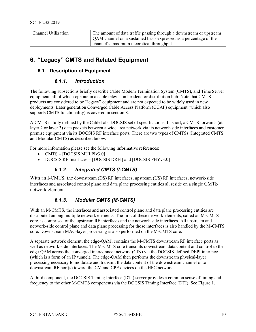| <b>Channel Utilization</b> | The amount of data traffic passing through a downstream or upstream |
|----------------------------|---------------------------------------------------------------------|
|                            | QAM channel on a sustained basis expressed as a percentage of the   |
|                            | channel's maximum theoretical throughput.                           |

## <span id="page-9-0"></span>**6. "Legacy" CMTS and Related Equipment**

#### <span id="page-9-2"></span><span id="page-9-1"></span>**6.1. Description of Equipment**

#### *6.1.1. Introduction*

The following subsections briefly describe Cable Modem Termination System (CMTS), and Time Server equipment, all of which operate in a cable television headend or distribution hub. Note that CMTS products are considered to be "legacy" equipment and are not expected to be widely used in new deployments. Later generation Converged Cable Access Platform (CCAP) equipment (which also supports CMTS functionality) is covered in section [8.](#page-14-0)

A CMTS is fully defined by the CableLabs DOCSIS set of specifications. In short, a CMTS forwards (at layer 2 or layer 3) data packets between a wide area network via its network-side interfaces and customer premise equipment via its DOCSIS RF interface ports. There are two types of CMTSs (Integrated CMTS and Modular CMTS) as described below.

For more information please see the following informative references:

- CMTS [DOCSIS MULPIv3.0]
- <span id="page-9-3"></span>• DOCSIS RF Interfaces – [DOCSIS DRFI] and [DOCSIS PHYv3.0]

#### *6.1.2. Integrated CMTS (I-CMTS)*

With an I-CMTS, the downstream (DS) RF interfaces, upstream (US) RF interfaces, network-side interfaces and associated control plane and data plane processing entities all reside on a single CMTS network element.

#### *6.1.3. Modular CMTS (M-CMTS)*

<span id="page-9-4"></span>With an M-CMTS, the interfaces and associated control plane and data plane processing entities are distributed among multiple network elements. The first of these network elements, called an M-CMTS core, is comprised of the upstream RF interfaces and the network-side interfaces. All upstream and network-side control plane and data plane processing for those interfaces is also handled by the M-CMTS core. Downstream MAC-layer processing is also performed on the M-CMTS core.

A separate network element, the edge-QAM, contains the M-CMTS downstream RF interface ports as well as network-side interfaces. The M-CMTS core transmits downstream data content and control to the edge-QAM across the converged interconnect network (CIN) via the DOCSIS-defined DEPI interface (which is a form of an IP tunnel). The edge-QAM then performs the downstream physical-layer processing necessary to modulate and transmit the data content of the downstream channel onto downstream RF port(s) toward the CM and CPE devices on the HFC network.

A third component, the DOCSIS Timing Interface (DTI) server provides a common sense of timing and frequency to the other M-CMTS components via the DOCSIS Timing Interface (DTI). See [Figure 1.](#page-10-3)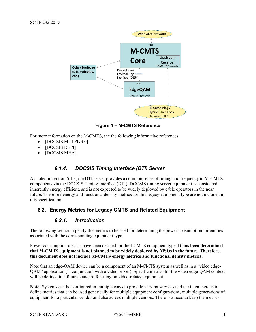

**Figure 1 – M-CMTS Reference**

<span id="page-10-3"></span>For more information on the M-CMTS, see the following informative references:

- [DOCSIS MULPIv3.0]
- [DOCSIS DEPI]
- <span id="page-10-0"></span>• [DOCSIS MHA]

#### *6.1.4. DOCSIS Timing Interface (DTI) Server*

As noted in section [6.1.3,](#page-9-4) the DTI server provides a common sense of timing and frequency to M-CMTS components via the DOCSIS Timing Interface (DTI). DOCSIS timing server equipment is considered inherently energy efficient, and is not expected to be widely deployed by cable operators in the near future. Therefore energy and functional density metrics for this legacy equipment type are not included in this specification.

#### <span id="page-10-2"></span><span id="page-10-1"></span>**6.2. Energy Metrics for Legacy CMTS and Related Equipment**

#### *6.2.1. Introduction*

The following sections specify the metrics to be used for determining the power consumption for entities associated with the corresponding equipment type.

#### Power consumption metrics have been defined for the I-CMTS equipment type. **It has been determined that M-CMTS equipment is not planned to be widely deployed by MSOs in the future. Therefore, this document does not include M-CMTS energy metrics and functional density metrics.**

Note that an edge-QAM device can be a component of an M-CMTS system as well as in a "video edge-QAM" application (in conjunction with a video server). Specific metrics for the video edge-QAM context will be defined in a future standard focusing on video-related equipment.

**Note:** Systems can be configured in multiple ways to provide varying services and the intent here is to define metrics that can be used generically for multiple equipment configurations, multiple generations of equipment for a particular vendor and also across multiple vendors. There is a need to keep the metrics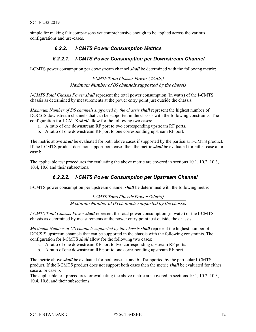<span id="page-11-0"></span>simple for making fair comparisons yet comprehensive enough to be applied across the various configurations and use-cases.

#### *6.2.2. I-CMTS Power Consumption Metrics*

#### *6.2.2.1. I-CMTS Power Consumption per Downstream Channel*

<span id="page-11-1"></span>I-CMTS power consumption per downstream channel *shall* be determined with the following metric:

I-CMTS Total Chassis Power (Watts) Maximum Number of DS channels supported by the chassis

*I-CMTS Total Chassis Power shall* represent the total power consumption (in watts) of the I-CMTS chassis as determined by measurements at the power entry point just outside the chassis.

*Maximum Number of DS channels supported by the chassis shall* represent the highest number of DOCSIS downstream channels that can be supported in the chassis with the following constraints. The configuration for I-CMTS *shall* allow for the following two cases:

- a. A ratio of one downstream RF port to two corresponding upstream RF ports.
- b. A ratio of one downstream RF port to one corresponding upstream RF port.

The metric above *shall* be evaluated for both above cases if supported by the particular I-CMTS product. If the I-CMTS product does not support both cases then the metric *shall* be evaluated for either case a. or case b.

<span id="page-11-2"></span>The applicable test procedures for evaluating the above metric are covered in sections [10.1,](#page-19-3) [10.2,](#page-19-4) [10.3,](#page-20-0) [10.4,](#page-21-0) [10.6](#page-22-0) and their subsections.

#### *6.2.2.2. I-CMTS Power Consumption per Upstream Channel*

I-CMTS power consumption per upstream channel *shall* be determined with the following metric:

I-CMTS Total Chassis Power (Watts) Maximum Number of US channels supported by the chassis

*I-CMTS Total Chassis Power shall* represent the total power consumption (in watts) of the I-CMTS chassis as determined by measurements at the power entry point just outside the chassis.

*Maximum Number of US channels supported by the chassis shall* represent the highest number of DOCSIS upstream channels that can be supported in the chassis with the following constraints. The configuration for I-CMTS *shall* allow for the following two cases:

- a. A ratio of one downstream RF port to two corresponding upstream RF ports.
- b. A ratio of one downstream RF port to one corresponding upstream RF port.

The metric above *shall* be evaluated for both cases a. and b. if supported by the particular I-CMTS product. If the I-CMTS product does not support both cases then the metric *shall* be evaluated for either case a. or case b.

The applicable test procedures for evaluating the above metric are covered in sections [10.1,](#page-19-3) [10.2,](#page-19-4) [10.3,](#page-20-0) [10.4,](#page-21-0) [10.6,](#page-22-0) and their subsections.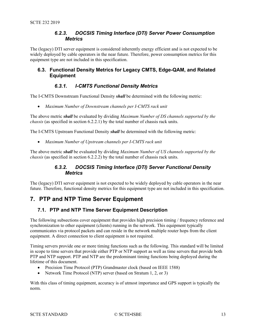#### *6.2.3. DOCSIS Timing Interface (DTI) Server Power Consumption Metrics*

<span id="page-12-0"></span>The (legacy) DTI server equipment is considered inherently energy efficient and is not expected to be widely deployed by cable operators in the near future. Therefore, power consumption metrics for this equipment type are not included in this specification.

#### <span id="page-12-1"></span>**6.3. Functional Density Metrics for Legacy CMTS, Edge-QAM, and Related Equipment**

#### *6.3.1. I-CMTS Functional Density Metrics*

<span id="page-12-2"></span>The I-CMTS Downstream Functional Density *shall* be determined with the following metric:

• *Maximum Number of Downstream channels per I-CMTS rack unit*

The above metric *shall* be evaluated by dividing *Maximum Number of DS channels supported by the chassis* (as specified in section [6.2.2.1\)](#page-11-1) by the total number of chassis rack units.

The I-CMTS Upstream Functional Density *shall* be determined with the following metric:

• *Maximum Number of Upstream channels per I-CMTS rack unit*

<span id="page-12-3"></span>The above metric *shall* be evaluated by dividing *Maximum Number of US channels supported by the chassis* (as specified in section [6.2.2.2\)](#page-11-2) by the total number of chassis rack units.

#### *6.3.2. DOCSIS Timing Interface (DTI) Server Functional Density Metrics*

The (legacy) DTI server equipment is not expected to be widely deployed by cable operators in the near future. Therefore, functional density metrics for this equipment type are not included in this specification.

## <span id="page-12-5"></span><span id="page-12-4"></span>**7. PTP and NTP Time Server Equipment**

#### **7.1. PTP and NTP Time Server Equipment Description**

The following subsections cover equipment that provides high precision timing / frequency reference and synchronization to other equipment (clients) running in the network. This equipment typically communicates via protocol packets and can reside in the network multiple router hops from the client equipment. A direct connection to client equipment is not required.

Timing servers provide one or more timing functions such as the following. This standard will be limited in scope to time servers that provide either PTP or NTP support as well as time servers that provide both PTP and NTP support. PTP and NTP are the predominant timing functions being deployed during the lifetime of this document.

- Precision Time Protocol (PTP) Grandmaster clock (based on IEEE 1588)
- Network Time Protocol (NTP) server (based on Stratum 1, 2, or 3)

With this class of timing equipment, accuracy is of utmost importance and GPS support is typically the norm.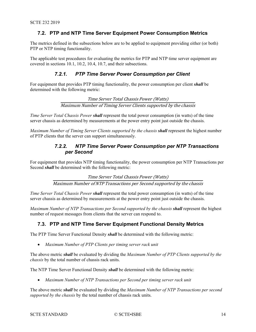#### <span id="page-13-0"></span>**7.2. PTP and NTP Time Server Equipment Power Consumption Metrics**

The metrics defined in the subsections below are to be applied to equipment providing either (or both) PTP or NTP timing functionality.

<span id="page-13-1"></span>The applicable test procedures for evaluating the metrics for PTP and NTP time server equipment are covered in sections [10.1,](#page-19-3) [10.2,](#page-19-4) [10.4,](#page-21-0) [10.7,](#page-24-4) and their subsections.

#### *7.2.1. PTP Time Server Power Consumption per Client*

For equipment that provides PTP timing functionality, the power consumption per client *shall* be determined with the following metric:

> Time Server Total Chassis Power (Watts) Maximum Number of Timing Server Clients supported by the chassis

<span id="page-13-4"></span>*Time Server Total Chassis Power shall* represent the total power consumption (in watts) of the time server chassis as determined by measurements at the power entry point just outside the chassis.

<span id="page-13-2"></span>*Maximum Number of Timing Server Clients supported by the chassis shall* represent the highest number of PTP clients that the server can support simultaneously.

#### *7.2.2. NTP Time Server Power Consumption per NTP Transactions per Second*

For equipment that provides NTP timing functionality, the power consumption per NTP Transactions per Second *shall* be determined with the following metric:

> Time Server Total Chassis Power (Watts) Maximum Number of NTP Transactions per Second supported by the chassis

*Time Server Total Chassis Power shall* represent the total power consumption (in watts) of the time server chassis as determined by measurements at the power entry point just outside the chassis.

*Maximum Number of NTP Transactions per Second supported by the chassis shall* represent the highest number of request messages from clients that the server can respond to.

#### <span id="page-13-3"></span>**7.3. PTP and NTP Time Server Equipment Functional Density Metrics**

The PTP Time Server Functional Density *shall* be determined with the following metric:

• *Maximum Number of PTP Clients per timing server rack unit*

The above metric *shall* be evaluated by dividing the *Maximum Number of PTP Clients supported by the chassis* by the total number of chassis rack units.

The NTP Time Server Functional Density *shall* be determined with the following metric:

• *Maximum Number of NTP Transactions per Second per timing server rack unit*

The above metric *shall* be evaluated by dividing the *Maximum Number of NTP Transactions per second supported by the chassis* by the total number of chassis rack units.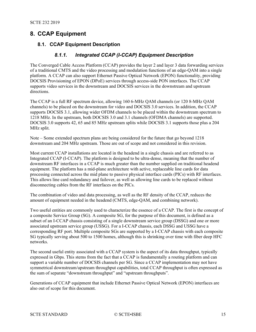## <span id="page-14-1"></span><span id="page-14-0"></span>**8. CCAP Equipment**

#### <span id="page-14-2"></span>**8.1. CCAP Equipment Description**

#### *8.1.1. Integrated CCAP (I-CCAP) Equipment Description*

The Converged Cable Access Platform (CCAP) provides the layer 2 and layer 3 data forwarding services of a traditional CMTS and the video processing and modulation functions of an edge-QAM into a single platform. A CCAP can also support Ethernet Passive Optical Network (EPON) functionality, providing DOCSIS Provisioning of EPON (DPoE) services through access-side PON interfaces. The CCAP supports video services in the downstream and DOCSIS services in the downstream and upstream directions.

The CCAP is a full RF spectrum device, allowing 160 6-MHz QAM channels (or 120 8-MHz QAM channels) to be placed on the downstream for video and DOCSIS 3.0 services. In addition, the CCAP supports DOCSIS 3.1, allowing wider OFDM channels to be placed within the downstream spectrum to 1218 MHz. In the upstream, both DOCSIS 3.0 and 3.1 channels (OFDMA channels) are supported. DOCSIS 3.0 supports 42, 65 and 85 MHz upstream splits while DOCSIS 3.1 supports those plus a 204 MHz split.

Note – Some extended spectrum plans are being considered for the future that go beyond 1218 downstream and 204 MHz upstream. Those are out of scope and not considered in this revision.

Most current CCAP installations are located in the headend in a single chassis and are referred to as Integrated CCAP (I-CCAP). The platform is designed to be ultra-dense, meaning that the number of downstream RF interfaces in a CCAP is much greater than the number supplied on traditional headend equipment. The platform has a mid-plane architecture with active, replaceable line cards for data processing connected across the mid plane to passive physical interface cards (PICs) with RF interfaces. This allows line card redundancy and failover, as well as allowing line cards to be replaced without disconnecting cables from the RF interfaces on the PICs.

The combination of video and data processing, as well as the RF density of the CCAP, reduces the amount of equipment needed in the headend (CMTS, edge-QAM, and combining network).

Two useful entities are commonly used to characterize the essence of a CCAP. The first is the concept of a composite Service Group (SG). A composite SG, for the purpose of this document, is defined as a subset of an I-CCAP chassis consisting of a single downstream service group (DSSG) and one or more associated upstream service group (USSG). For a I-CCAP chassis, each DSSG and USSG have a corresponding RF port. Multiple composite SGs are supported by a I-CCAP chassis with each composite SG typically serving about 500 to 1500 homes, although this is shrinking over time with fiber deep HFC networks.

The second useful entity associated with a CCAP system is the aspect of its data throughput, typically expressed in Gbps. This stems from the fact that a CCAP is fundamentally a routing platform and can support a variable number of DOCSIS channels per SG. Since a CCAP implementation may not have symmetrical downstream/upstream throughput capabilities, total CCAP throughput is often expressed as the sum of separate "downstream throughput" and "upstream throughputs".

Generations of CCAP equipment that include Ethernet Passive Optical Network (EPON) interfaces are also out of scope for this document.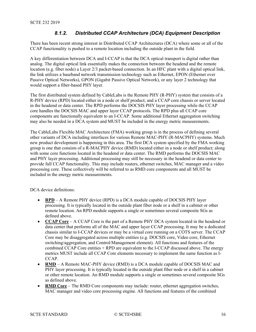#### *8.1.2. Distributed CCAP Architecture (DCA) Equipment Description*

<span id="page-15-0"></span>There has been recent strong interest in Distributed CCAP Architectures (DCA) where some or all of the CCAP functionality is pushed to a remote location including the outside plant in the field.

A key differentiation between DCA and I-CCAP is that the DCA optical transport is digital rather than analog. The digital optical link essentially makes the connection between the headend and the remote location (e.g. fiber node) a Layer 2/3 packet-based connection. In an HFC plant with a digital optical link, the link utilizes a baseband network transmission technology such as Ethernet, EPON (Ethernet over Passive Optical Networks), GPON (Gigabit Passive Optical Network), or any layer 2 technology that would support a fiber-based PHY layer.

The first distributed system defined by CableLabs is the Remote PHY (R-PHY) system that consists of a R-PHY device (RPD) located either in a node or shelf product; and a CCAP core chassis or server located in the headend or data center. The RPD performs the DOCSIS PHY layer processing while the CCAP core handles the DOCSIS MAC and upper layer CCAP protocols. The RPD plus all CCAP core components are functionally equivalent to an I-CCAP. Some additional Ethernet aggregation switching may also be needed in a DCA system and MUST be included in the energy metric measurements.

The CableLabs Flexible MAC Architecture (FMA) working group is in the process of defining several other variants of DCA including interfaces for various Remote MAC-PHY (R-MACPHY) systems. Much new product development is happening in this area. The first DCA system specified by the FMA working group is one that consists of a R-MACPHY device (RMD) located either in a node or shelf product; along with some core functions located in the headend or data center. The RMD performs the DOCSIS MAC and PHY layer processing. Additional processing may still be necessary in the headend or data center to provide full CCAP functionality. This may include routers, ethernet switches, MAC manager and a video processing core. These collectively will be referred to as RMD core components and all MUST be included in the energy metric measurements.

DCA device definitions:

- **RPD** A Remote PHY device (RPD) is a DCA module capable of DOCSIS PHY layer processing. It is typically located in the outside plant fiber node or a shelf in a cabinet or other remote location. An RPD module supports a single or sometimes several composite SGs as defined above.
- **CCAP Core** A CCAP Core is the part of a Remote PHY DCA system located in the headend or data center that performs all of the MAC and upper layer CCAP processing. It may be a dedicated chassis similar to I-CCAP devices or may be a virtual core running on a COTS server. The CCAP Core may be disaggregated across multiple entities (e.g. DOCSIS core, Video core, Ethernet switching/aggregation, and Control/Management element). All functions and features of the combined CCAP Core entities + RPD are equivalent to the I-CCAP discussed above. The energy metrics MUST include all CCAP Core elements necessary to implement the same function as I-CCAP.
- **RMD** A Remote MAC-PHY device (RMD) is a DCA module capable of DOCSIS MAC and PHY layer processing. It is typically located in the outside plant fiber node or a shelf in a cabinet or other remote location. An RMD module supports a single or sometimes several composite SGs as defined above.
- **RMD** Core The RMD Core components may include: router, ethernet aggregation switches, MAC manager and video core processing engine. All functions and features of the combined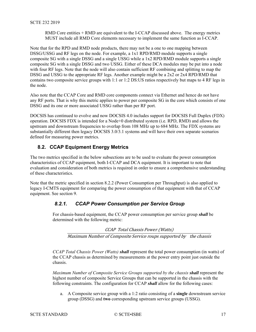RMD Core entities + RMD are equivalent to the I-CCAP discussed above. The energy metrics MUST include all RMD Core elements necessary to implement the same function as I-CCAP.

Note that for the RPD and RMD node products, there may not be a one to one mapping between DSSG/USSG and RF legs on the node. For example, a 1x1 RPD/RMD module supports a single composite SG with a single DSSG and a single USSG while a 1x2 RPD/RMD module supports a single composite SG with a single DSSG and two USSG. Either of these DCA modules may be put into a node with four RF legs. Note that the node will also contain sufficient RF combining and splitting to map the DSSG and USSG to the appropriate RF legs. Another example might be a 2x2 or 2x4 RPD/RMD that contains two composite service groups with 1:1 or 1:2 DS:US ratios respectively but maps to 4 RF legs in the node.

Also note that the CCAP Core and RMD core components connect via Ethernet and hence do not have any RF ports. That is why this metric applies to power per composite SG in the core which consists of one DSSG and its one or more associated USSG rather than per RF port.

DOCSIS has continued to evolve and now DOCSIS 4.0 includes support for DOCSIS Full Duplex (FDX) operation. DOCSIS FDX is intended for a Node+0 distributed system (i.e. RPD, RMD) and allows the upstream and downstream frequencies to overlap from 108 MHz up to 684 MHz. The FDX systems are substantially different then legacy DOCSIS 3.0/3.1 systems and will have their own separate scenarios defined for measuring power metrics.

#### <span id="page-16-0"></span>**8.2. CCAP Equipment Energy Metrics**

The two metrics specified in the below subsections are to be used to evaluate the power consumption characteristics of CCAP equipment, both I-CCAP and DCA equipment. It is important to note that evaluation and consideration of both metrics is required in order to ensure a comprehensive understanding of these characteristics.

<span id="page-16-1"></span>Note that the metric specified in section [8.2.2](#page-17-0) (Power Consumption per Throughput) is also applied to legacy I-CMTS equipment for comparing the power consumption of that equipment with that of CCAP equipment. See section [9.](#page-19-0)

## *8.2.1. CCAP Power Consumption per Service Group*

For chassis-based equipment, the CCAP power consumption per service group *shall* be determined with the following metric:

CCAP Total Chassis Power (Watts) Maximum Number of Composite Service roups supported by the chassis

*CCAP Total Chassis Power (Watts) shall* represent the total power consumption (in watts) of the CCAP chassis as determined by measurements at the power entry point just outside the chassis.

*Maximum Number of Composite Service Groups supported by the chassis shall* represent the highest number of composite Service Groups that can be supported in the chassis with the following constraints. The configuration for CCAP *shall* allow for the following cases:

a. A Composite service group with a 1:2 ratio consisting of a **single** downstream service group (DSSG) and **two** corresponding upstream service groups (USSG).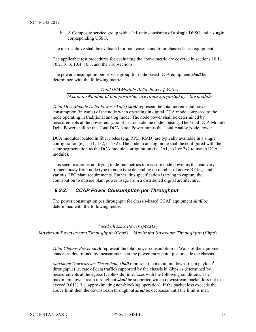b. A Composite service group with a 1:1 ratio consisting of a **single** DSSG and a **single** corresponding USSG.

The metric above shall be evaluated for both cases a and b for chassis-based equipment.

The applicable test procedures for evaluating the above metric are covered in sections 10.1, 10.2, 10.3, 10.4, 10.8, and their subsections.

The power consumption per service group for node-based DCA equipment *shall* be determined with the following metric:

Total DCA Module Delta Power (Watts) Maximum Number of Composite Service roups supported by the module

*Total DCA Module Delta Power (Watts) shall* represent the total incremental power consumption (in watts) of the node when operating in digital DCA mode compared to the node operating in traditional analog mode. The node power shall be determined by measurements at the power entry point just outside the node housing. The Total DCA Module Delta Power shall be the Total DCA Node Power minus the Total Analog Node Power.

DCA modules located in fiber nodes (e.g. RPD, RMD) are typically available in a single configuration (e.g. 1x1, 1x2, or 2x2). The node in analog mode shall be configured with the same segmentation as the DCA module configuration (i.e. 1x1, 1x2 or 2x2 to match DCA module).

This specification is not trying to define metrics to measure node power as that can vary tremendously from node type to node type depending on number of active RF legs and various HFC plant requirements. Rather, this specification is trying to capture the contribution to outside plant power usage from a distributed digital architecture.

#### <span id="page-17-0"></span>*8.2.2. CCAP Power Consumption per Throughput*

The power consumption per throughput for chassis-based CCAP equipment *shall* be determined with the following metric:

#### Total Chassis Power (Watts)

 $\overline{Maximum}$  Downstream Throughput (Gbps) +  $Maximum$  Upstream Throughput (Gbps)

*Total Chassis Power shall* represent the total power consumption in Watts of the equipment chassis as determined by measurements at the power entry point just outside the chassis.

*Maximum Downstream Throughput shall represent the maximum downstream payload*<sup>1</sup> throughput (i.e. rate of data traffic) supported by the chassis in Gbps as determined by measurements at the egress (cable-side) interfaces with the following conditions. The maximum downstream throughput *shall* be supported with a downstream packet loss not to exceed 0.01% (i.e. approximating non-blocking operation). If the packet loss exceeds the above limit then the downstream throughput *shall* be decreased until the limit is met.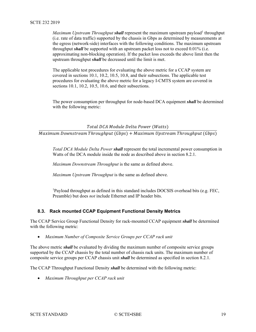*Maximum Upstream Throughput shall represent the maximum upstream payload*<sup>1</sup> throughput (i.e. rate of data traffic) supported by the chassis in Gbps as determined by measurements at the egress (network-side) interfaces with the following conditions. The maximum upstream throughput *shall* be supported with an upstream packet loss not to exceed 0.01% (i.e. approximating non-blocking operation). If the packet loss exceeds the above limit then the upstream throughput *shall* be decreased until the limit is met.

The applicable test procedures for evaluating the above metric for a CCAP system are covered in sections [10.1,](#page-19-3) [10.2,](#page-19-4) [10.5,](#page-21-1) [10.8,](#page-25-2) and their subsections. The applicable test procedures for evaluating the above metric for a legacy I-CMTS system are covered in sections [10.1,](#page-19-3) [10.2,](#page-19-4) [10.5,](#page-21-1) [10.6,](#page-22-0) and their subsections.

The power consumption per throughput for node-based DCA equipment *shall* be determined with the following metric:

Total DCA Module Delta Power (Watts)

 $\overline{Maximum}$  Downstream Throughput (Gbps) +  $Maximum$  Upstream Throughput (Gbps)

*Total DCA Module Delta Power shall* represent the total incremental power consumption in Watts of the DCA module inside the node as described above in section 8.2.1.

*Maximum Downstream Throughput* is the same as defined above.

*Maximum Upstream Throughput* is the same as defined above.

<sup>1</sup>Payload throughput as defined in this standard includes DOCSIS overhead bits (e.g. FEC, Preamble) but does *not* include Ethernet and IP header bits.

#### <span id="page-18-0"></span>**8.3. Rack mounted CCAP Equipment Functional Density Metrics**

The CCAP Service Group Functional Density for rack-mounted CCAP equipment *shall* be determined with the following metric:

• *Maximum Number of Composite Service Groups per CCAP rack unit*

The above metric *shall* be evaluated by dividing the maximum number of composite service groups supported by the CCAP chassis by the total number of chassis rack units. The maximum number of composite service groups per CCAP chassis unit *shall* be determined as specified in section [8.2.1.](#page-16-1)

The CCAP Throughput Functional Density *shall* be determined with the following metric:

• *Maximum Throughput per CCAP rack unit*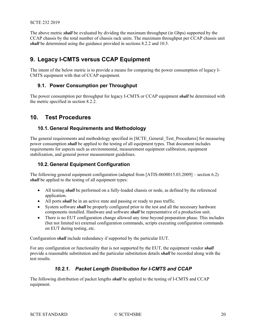The above metric *shall* be evaluated by dividing the maximum throughput (in Gbps) supported by the CCAP chassis by the total number of chassis rack units. The maximum throughput per CCAP chassis unit *shall* be determined using the guidance provided in sections [8.2.2](#page-17-0) and [10.5.](#page-21-1)

## <span id="page-19-0"></span>**9. Legacy I-CMTS versus CCAP Equipment**

The intent of the below metric is to provide a means for comparing the power consumption of legacy I-CMTS equipment with that of CCAP equipment.

#### <span id="page-19-1"></span>**9.1. Power Consumption per Throughput**

The power consumption per throughput for legacy I-CMTS or CCAP equipment *shall* be determined with the metric specified in section [8.2.2.](#page-17-0)

## <span id="page-19-2"></span>**10. Test Procedures**

#### <span id="page-19-3"></span>**10.1. General Requirements and Methodology**

The general requirements and methodology specified in [SCTE\_General\_Test\_Procedures] for measuring power consumption *shall* be applied to the testing of all equipment types. That document includes requirements for aspects such as environmental, measurement equipment calibration, equipment stabilization, and general power measurement guidelines.

#### <span id="page-19-4"></span>**10.2. General Equipment Configuration**

The following general equipment configuration (adapted from [ATIS-0600015.03.2009] – section 6.2) *shall* be applied to the testing of all equipment types:

- All testing *shall* be performed on a fully-loaded chassis or node, as defined by the referenced application.
- All ports *shall* be in an active state and passing or ready to pass traffic.
- System software *shall* be properly configured prior to the test and all the necessary hardware components installed. Hardware and software *shall* be representative of a production unit.
- There is no EUT configuration change allowed any time beyond preparation phase. This includes (but not limited to) external configuration commands, scripts executing configuration commands on EUT during testing, etc.

Configuration *shall* include redundancy if supported by the particular EUT.

<span id="page-19-5"></span>For any configuration or functionality that is not supported by the EUT, the equipment vendor *shall* provide a reasonable substitution and the particular substitution details *shall* be recorded along with the test results.

#### *10.2.1. Packet Length Distribution for I-CMTS and CCAP*

The following distribution of packet lengths *shall* be applied to the testing of I-CMTS and CCAP equipment.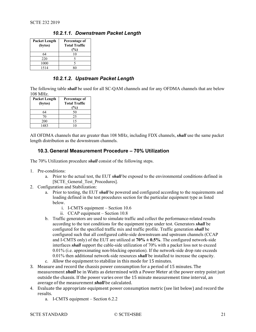| <b>Packet Length</b><br>(bytes) | Percentage of<br><b>Total Traffic</b><br>$\%$ |
|---------------------------------|-----------------------------------------------|
| 64                              |                                               |
| 220                             |                                               |
| 1000                            |                                               |
| 1514                            |                                               |

#### *10.2.1.1. Downstream Packet Length*

#### *10.2.1.2. Upstream Packet Length*

The following table *shall* be used for all SC-QAM channels and for any OFDMA channels that are below 108 MHz.

| <b>Packet Length</b><br>(bytes) | Percentage of<br><b>Total Traffic</b><br>$(\%)$ |
|---------------------------------|-------------------------------------------------|
| 64                              | 50                                              |
| 70                              | 25                                              |
| 200                             | 15                                              |
| 1483                            | 10                                              |

All OFDMA channels that are greater than 108 MHz, including FDX channels, *shall* use the same packet length distribution as the downstream channels.

#### <span id="page-20-0"></span>**10.3. General Measurement Procedure – 70% Utilization**

The 70% Utilization procedure *shall* consist of the following steps.

- 1. Pre-conditions:
	- a. Prior to the actual test, the EUT *shall* be exposed to the environmental conditions defined in [SCTE\_General\_Test\_Procedures].
- 2. Configuration and Stabilization:
	- a. Prior to testing, the EUT *shall* be powered and configured according to the requirements and loading defined in the test procedures section for the particular equipment type as listed below.
		- i. I-CMTS equipment Section [10.6](#page-22-0)
		- ii. CCAP equipment Section [10.8](#page-25-2)
	- b. Traffic generators are used to simulate traffic and collect the performance-related results according to the test conditions for the equipment type under test. Generators *shall* be configured for the specified traffic mix and traffic profile. Traffic generation *shall* be configured such that all configured cable-side downstream and upstream channels (CCAP and I-CMTS only) of the EUT are utilized at  $70\% \pm 0.5\%$ . The configured network-side interfaces *shall* support the cable-side utilization of 70% with a packet loss not to exceed 0.01% (i.e. approximating non-blocking operation). If the network-side drop rate exceeds 0.01% then additional network-side resources *shall* be installed to increase the capacity.
	- c. Allow the equipment to stabilize in this mode for 15 minutes.
- 3. Measure and record the chassis power consumption for a period of 15 minutes. The measurement *shall* be in Watts as determined with a Power Meter at the power entry point just outside the chassis. If the power varies over the 15 minute measurement time interval, an average of the measurement *shall* be calculated.
- 4. Evaluate the appropriate equipment power consumption metric (see list below) and record the results.
	- a. I-CMTS equipment Section [6.2.2](#page-11-0)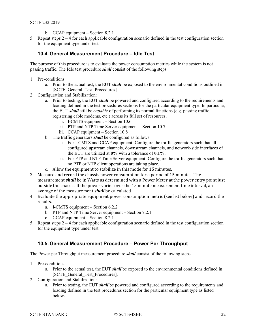- b. CCAP equipment Section [8.2.1](#page-16-1)
- <span id="page-21-0"></span>5. Repeat steps  $2 - 4$  for each applicable configuration scenario defined in the test configuration section for the equipment type under test.

#### **10.4. General Measurement Procedure – Idle Test**

The purpose of this procedure is to evaluate the power consumption metrics while the system is not passing traffic. The Idle test procedure *shall* consist of the following steps.

- 1. Pre-conditions:
	- a. Prior to the actual test, the EUT *shall* be exposed to the environmental conditions outlined in [SCTE General Test Procedures].
- 2. Configuration and Stabilization:
	- a. Prior to testing, the EUT *shall* be powered and configured according to the requirements and loading defined in the test procedures sections for the particular equipment type. In particular, the EUT *shall* still be *capable* of performing its normal functions (e.g. passing traffic, registering cable modems, etc.) across its full set of resources.
		- i. I-CMTS equipment Section [10.6](#page-22-0)
		- ii. PTP and NTP Time Server equipment Section [10.7](#page-24-4)
		- iii. CCAP equipment Section [10.8](#page-25-2)
	- b. The traffic generators *shall* be configured as follows:
		- i. For I-CMTS and CCAP equipment: Configure the traffic generators such that all configured upstream channels, downstream channels, and network-side interfaces of the EUT are utilized at **0%** with a tolerance of **0.1%**.
		- ii. For PTP and NTP Time Server equipment: Configure the traffic generators such that no PTP or NTP client operations are taking place.
	- c. Allow the equipment to stabilize in this mode for 15 minutes.
- 3. Measure and record the chassis power consumption for a period of 15 minutes. The measurement *shall* be in Watts as determined with a Power Meter at the power entry point just outside the chassis. If the power varies over the 15 minute measurement time interval, an average of the measurement *shall* be calculated.
- 4. Evaluate the appropriate equipment power consumption metric (see list below) and record the results.
	- a. I-CMTS equipment Section [6.2.2](#page-11-0)
	- b. PTP and NTP Time Server equipment Section [7.2.1](#page-13-1)
	- c. CCAP equipment Section  $8.2.1$
- 5. Repeat steps  $2 4$  for each applicable configuration scenario defined in the test configuration section for the equipment type under test.

#### <span id="page-21-1"></span>**10.5. General Measurement Procedure – Power Per Throughput**

The Power per Throughput measurement procedure *shall* consist of the following steps.

- 1. Pre-conditions:
	- a. Prior to the actual test, the EUT *shall* be exposed to the environmental conditions defined in [SCTE\_General\_Test\_Procedures].
- 2. Configuration and Stabilization:
	- a. Prior to testing, the EUT *shall* be powered and configured according to the requirements and loading defined in the test procedures section for the particular equipment type as listed below.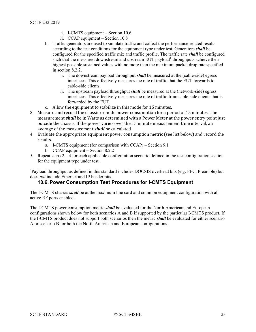- i. I-CMTS equipment Section [10.6](#page-22-0)
- ii. CCAP equipment Section [10.8](#page-25-2)
- b. Traffic generators are used to simulate traffic and collect the performance-related results according to the test conditions for the equipment type under test. Generators *shall* be configured for the specified traffic mix and traffic profile. The traffic rate *shall* be configured such that the measured downstream and upstream EUT payload<sup>1</sup> throughputs achieve their highest possible sustained values with no more than the maximum packet drop rate specified in section [8.2.2.](#page-17-0)
	- i. The downstream payload throughput *shall* be measured at the (cable-side) egress interfaces. This effectively measures the rate of traffic that the EUT forwards to cable-side clients.
	- ii. The upstream payload throughput *shall* be measured at the (network-side) egress interfaces. This effectively measures the rate of traffic from cable-side clients that is forwarded by the EUT.
- c. Allow the equipment to stabilize in this mode for 15 minutes.
- 3. Measure and record the chassis or node power consumption for a period of 15 minutes. The measurement *shall* be in Watts as determined with a Power Meter at the power entry point just outside the chassis. If the power varies over the 15 minute measurement time interval, an average of the measurement *shall* be calculated.
- 4. Evaluate the appropriate equipment power consumption metric (see list below) and record the results.
	- a. I-CMTS equipment (for comparison with CCAP) Section [9.1](#page-19-1)
	- b. CCAP equipment Section [8.2.2](#page-17-0)
- 5. Repeat steps  $2 4$  for each applicable configuration scenario defined in the test configuration section for the equipment type under test.

<sup>1</sup>Payload throughput as defined in this standard includes DOCSIS overhead bits (e.g. FEC, Preamble) but does *not* include Ethernet and IP header bits.

#### <span id="page-22-0"></span>**10.6. Power Consumption Test Procedures for I-CMTS Equipment**

The I-CMTS chassis *shall* be at the maximum line card and common equipment configuration with all active RF ports enabled.

The I-CMTS power consumption metric *shall* be evaluated for the North American and European configurations shown below for both scenarios A and B if supported by the particular I-CMTS product. If the I-CMTS product does not support both scenarios then the metric *shall* be evaluated for either scenario A or scenario B for both the North American and European configurations.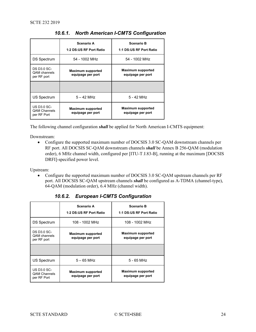<span id="page-23-0"></span>

|                                                          | Scenario A<br>1:2 DS:US RF Port Ratio         | <b>Scenario B</b><br>1:1 DS:US RF Port Ratio  |
|----------------------------------------------------------|-----------------------------------------------|-----------------------------------------------|
| DS Spectrum                                              | 54 - 1002 MHz                                 | 54 - 1002 MHz                                 |
| DS D3.0 SC-<br>QAM channels<br>per RF port               | <b>Maximum supported</b><br>equipage per port | <b>Maximum supported</b><br>equipage per port |
|                                                          |                                               |                                               |
| US Spectrum                                              | $5 - 42$ MHz                                  | 5 - 42 MHz                                    |
| <b>US D3.0 SC-</b><br><b>QAM Channels</b><br>per RF Port | <b>Maximum supported</b><br>equipage per port | <b>Maximum supported</b><br>equipage per port |

*10.6.1. North American I-CMTS Configuration*

The following channel configuration *shall* be applied for North American I-CMTS equipment:

Downstream:

• Configure the supported maximum number of DOCSIS 3.0 SC-QAM downstream channels per RF port. All DOCSIS SC-QAM downstream channels *shall* be Annex B 256-QAM (modulation order), 6 MHz channel width, configured per [ITU-T J.83-B], running at the maximum [DOCSIS DRFI]-specified power level.

Upstream:

• Configure the supported maximum number of DOCSIS 3.0 SC-QAM upstream channels per RF port. All DOCSIS SC-QAM upstream channels *shall* be configured as A-TDMA (channel-type), 64-QAM (modulation order), 6.4 MHz (channel width).

<span id="page-23-1"></span>

|                                                          | <b>Scenario A</b><br>1:2 DS:US RF Port Ratio  | <b>Scenario B</b><br>1:1 DS:US RF Port Ratio  |
|----------------------------------------------------------|-----------------------------------------------|-----------------------------------------------|
| DS Spectrum                                              | 108 - 1002 MHz                                | 108 - 1002 MHz                                |
| DS D3.0 SC-<br><b>QAM</b> channels<br>per RF port        | <b>Maximum supported</b><br>equipage per port | <b>Maximum supported</b><br>equipage per port |
|                                                          |                                               |                                               |
| <b>US Spectrum</b>                                       | $5 - 65$ MHz                                  | $5 - 65$ MHz                                  |
| <b>US D3.0 SC-</b><br><b>QAM Channels</b><br>per RF Port | <b>Maximum supported</b><br>equipage per port | <b>Maximum supported</b><br>equipage per port |

*10.6.2. European I-CMTS Configuration*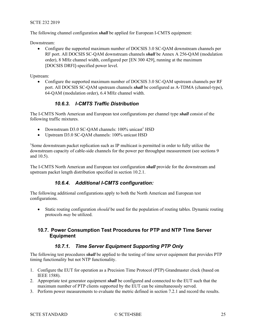#### SCTE 232 2019

The following channel configuration *shall* be applied for European I-CMTS equipment:

Downstream:

• Configure the supported maximum number of DOCSIS 3.0 SC-QAM downstream channels per RF port. All DOCSIS SC-QAM downstream channels *shall* be Annex A 256-QAM (modulation order), 8 MHz channel width, configured per [EN 300 429], running at the maximum [DOCSIS DRFI]-specified power level.

Upstream:

• Configure the supported maximum number of DOCSIS 3.0 SC-QAM upstream channels per RF port. All DOCSIS SC-QAM upstream channels *shall* be configured as A-TDMA (channel-type), 64-QAM (modulation order), 6.4 MHz channel width.

#### *10.6.3. I-CMTS Traffic Distribution*

<span id="page-24-0"></span>The I-CMTS North American and European test configurations per channel type *shall* consist of the following traffic mixtures.

- Downstream D3.0 SC-QAM channels:  $100\%$  unicast<sup>1</sup> HSD
- Upstream D3.0 SC-QAM channels: 100% unicast HSD

<sup>1</sup>Some downstream packet replication such as IP multicast is permitted in order to fully utilize the downstream capacity of cable-side channels for the power per throughput measurement (see sections [9](#page-19-0) and [10.5\)](#page-21-1).

The I-CMTS North American and European test configuration *shall* provide for the downstream and upstream packet length distribution specified in section [10.2.1.](#page-19-5)

#### *10.6.4. Additional I-CMTS configuration:*

<span id="page-24-1"></span>The following additional configurations apply to both the North American and European test configurations.

• Static routing configuration *should* be used for the population of routing tables. Dynamic routing protocols *may* be utilized.

#### <span id="page-24-4"></span><span id="page-24-2"></span>**10.7. Power Consumption Test Procedures for PTP and NTP Time Server Equipment**

#### *10.7.1. Time Server Equipment Supporting PTP Only*

<span id="page-24-3"></span>The following test procedures *shall* be applied to the testing of time server equipment that provides PTP timing functionality but not NTP functionality.

- 1. Configure the EUT for operation as a Precision Time Protocol (PTP) Grandmaster clock (based on IEEE 1588).
- 2. Appropriate test generator equipment *shall* be configured and connected to the EUT such that the maximum number of PTP clients supported by the EUT can be simultaneously served.
- 3. Perform power measurements to evaluate the metric defined in section [7.2.1](#page-13-1) and record the results.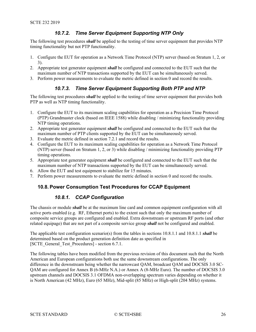#### *10.7.2. Time Server Equipment Supporting NTP Only*

<span id="page-25-0"></span>The following test procedures *shall* be applied to the testing of time server equipment that provides NTP timing functionality but not PTP functionality.

- 1. Configure the EUT for operation as a Network Time Protocol (NTP) server (based on Stratum 1, 2, or 3).
- 2. Appropriate test generator equipment *shall* be configured and connected to the EUT such that the maximum number of NTP transactions supported by the EUT can be simultaneously served.
- <span id="page-25-1"></span>3. Perform power measurements to evaluate the metric defined in section [0](#page-13-4) and record the results.

#### *10.7.3. Time Server Equipment Supporting Both PTP and NTP*

The following test procedures *shall* be applied to the testing of time server equipment that provides both PTP as well as NTP timing functionality.

- 1. Configure the EUT to its maximum scaling capabilities for operation as a Precision Time Protocol (PTP) Grandmaster clock (based on IEEE 1588) while disabling / minimizing functionality providing NTP timing operations.
- 2. Appropriate test generator equipment *shall* be configured and connected to the EUT such that the maximum number of PTP clients supported by the EUT can be simultaneously served.
- 3. Evaluate the metric defined in section [7.2.1](#page-13-1) and record the results.
- 4. Configure the EUT to its maximum scaling capabilities for operation as a Network Time Protocol (NTP) server (based on Stratum 1, 2, or 3) while disabling / minimizing functionality providing PTP timing operations.
- 5. Appropriate test generator equipment *shall* be configured and connected to the EUT such that the maximum number of NTP transactions supported by the EUT can be simultaneously served.
- 6. Allow the EUT and test equipment to stabilize for 15 minutes.
- 7. Perform power measurements to evaluate the metric defined in section [0](#page-13-4) and record the results.

#### <span id="page-25-3"></span><span id="page-25-2"></span>**10.8. Power Consumption Test Procedures for CCAP Equipment**

#### *10.8.1. CCAP Configuration*

The chassis or module *shall* be at the maximum line card and common equipment configuration with all active ports enabled (e.g. RF, Ethernet ports) to the extent such that only the maximum number of composite service groups are configured and enabled. Extra downstream or upstream RF ports (and other related equipage) that are not part of a composite service group *shall* not be configured and enabled.

The applicable test configuration scenario(s) from the tables in sections [10.8.1.1](#page-26-0) and [10.8.1.1](#page-27-0) *shall* be determined based on the product generation definition date as specified in [SCTE General Test Procedures] - section 6.7.1.

The following tables have been modified from the previous revision of this document such that the North American and European configurations both use the same downstream configurations. The only difference in the downstream being whether the narrowcast QAM, broadcast QAM and DOCSIS 3.0 SC-QAM are configured for Annex B (6-MHz N.A.) or Annex A (8-MHz Euro). The number of DOCSIS 3.0 upstream channels and DOCSIS 3.1 OFDMA non-overlapping spectrum varies depending on whether it is North American (42 MHz), Euro (65 MHz), Mid-split (85 MHz) or High-split (204 MHz) systems.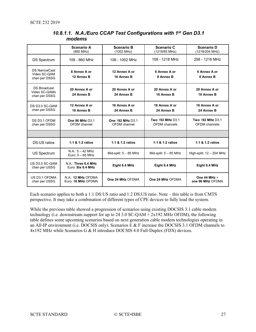<span id="page-26-0"></span>

|                                                       | <b>Scenario A</b><br>(860 MHz)           | <b>Scenario B</b><br>(1002 MHz)  | Scenario C<br>(1218/85 MHz)              | Scenario D<br>(1218/204 MHz)      |
|-------------------------------------------------------|------------------------------------------|----------------------------------|------------------------------------------|-----------------------------------|
| <b>DS Spectrum</b>                                    | 108 - 860 MHz                            | 108 - 1002 MHz                   | 108 - 1218 MHz                           | 258 - 1218 MHz                    |
| <b>DS NarrowCast</b><br>Video SC-QAM<br>chan per DSSG | 8 Annex A or<br>12 Annex B               | 12 Annex A or<br>16 Annex B      | 6 Annex A or<br>8 Annex B                | 6 Annex A or<br>8 Annex B         |
| DS Broadcast<br>Video SC-QAMs<br>chan per DSSG        | 20 Annex A or<br>24 Annex B              | 20 Annex A or<br>24 Annex B      | 20 Annex A or<br>16 Annex B              | 20 Annex A or<br>16 Annex B       |
| DS D3.0 SC-QAM<br>chan per DSSG                       | 12 Annex A or<br>16 Annex B              | 16 Annex A or<br>24 Annex B      | 16 Annex A or<br>24 Annex B              | 16 Annex A or<br>24 Annex B       |
| DS D3.1 OFDM<br>chan per DSSG                         | One 96 MHz D3 1<br>OFDM channel          | One 192 MHz D3.1<br>OFDM channel | Two 192 MHz D3.1<br><b>OFDM</b> channels | Two 192 MHz D3 1<br>OFDM channels |
|                                                       |                                          |                                  |                                          |                                   |
| <b>DS:US ratios</b>                                   | 1:1 & 1:2 ratios                         | 1:1 & 1:2 ratios                 | 1:1 & 1:2 ratios                         | 1:1 & 1:2 ratios                  |
| US Spectrum                                           | $N.A.: 5 - 42 MHz$<br>Euro: $5 - 65$ MHz | Mid-split: $5 - 85$ MHz          | Mid-split: $5 - 85$ MHz                  | High-split: $12 - 204$ MHz        |
| US D3.0 SC-QAM<br>chan per USSG                       | N.A.: Three 6.4 MHz<br>Euro: Six 6.4 MHz | Eight 6.4 MHz                    | Eight 6.4 MHz                            | Eight 6.4 MHz                     |
| US D3.1 OFDMA<br>chan per USSG                        | N.A.: 12 MHz OFDMA<br>Euro: 16 MHz OFDMA | One 24 MHz OFDMA                 | One 24 MHz OFDMA                         | One 44 MHz +<br>one 96 MHz OFDMA  |

#### *10.8.1.1. N.A./Euro CCAP Test Configurations with 1st Gen D3.1 modems*

Each scenario applies to both a 1:1 DS:US ratio and 1:2 DS:US ratio. Note – this table is from CMTS perspective. It may take a combination of different types of CPE devices to fully load the system.

While the previous table showed a progression of scenarios using existing DOCSIS 3.1 cable modem technology (i.e. downstream support for up to 24 3.0 SC-QAM + 2x192 MHz OFDM), the following table defines some upcoming scenarios based on next generation cable modem technologies operating in an All-IP environment (i.e. DOCSIS only). Scenarios E & F increase the DOCSIS 3.1 OFDM channels to 4x192 MHz while Scenarios G & H introduce DOCSIS 4.0 Full-Duplex (FDX) devices.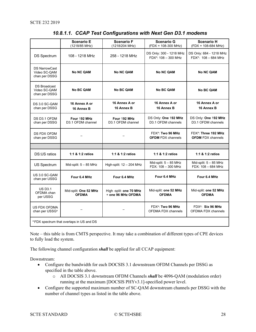<span id="page-27-0"></span>

|                                                       | <b>Scenario E</b><br>(1218/85 MHz)    | <b>Scenario F</b><br>(1218/204 MHz)           | <b>Scenario G</b><br>$(FDX = 108-300 MHz)$                 | <b>Scenario H</b><br>$(FDX = 108-684 MHz)$                   |  |  |
|-------------------------------------------------------|---------------------------------------|-----------------------------------------------|------------------------------------------------------------|--------------------------------------------------------------|--|--|
| <b>DS Spectrum</b>                                    | 108 - 1218 MHz                        | 258 - 1218 MHz                                | DS Only: 300 - 1218 MHz<br>$FDX^a$ : 108 - 300 MHz         | DS Only: 684 - 1218 MHz<br>$FDX^a$ : 108 - 684 MHz           |  |  |
| <b>DS NarrowCast</b><br>Video SC-QAM<br>chan per DSSG | <b>No NC QAM</b>                      | <b>No NC QAM</b>                              | <b>No NC QAM</b>                                           | <b>No NC QAM</b>                                             |  |  |
| <b>DS Broadcast</b><br>Video SC-QAM<br>chan per DSSG  | <b>No BC QAM</b>                      | <b>No BC QAM</b>                              | <b>No BC QAM</b>                                           | <b>No BC QAM</b>                                             |  |  |
| DS 3.0 SC-QAM<br>chan per DSSG                        | 16 Annex A or<br>16 Annex B           | 16 Annex A or<br>16 Annex B                   | 16 Annex A or<br>16 Annex B                                | 16 Annex A or<br>16 Annex B                                  |  |  |
| DS D3.1 OFDM<br>chan per DSSG                         | Four 192 MHz<br>D3.1 OFDM channel     | Four 192 MHz<br>D3.1 OFDM channel             | DS Only: One 192 MHz<br>D3.1 OFDM channels                 | DS Only: One 192 MHz<br>D3.1 OFDM channels                   |  |  |
| DS FDX OFDM<br>chan per DSSG                          |                                       |                                               | FDX <sup>a</sup> : Two 96 MHz<br><b>OFDM FDX channels</b>  | FDX <sup>a</sup> : Three 192 MHz<br><b>OFDM FDX channels</b> |  |  |
|                                                       |                                       |                                               |                                                            |                                                              |  |  |
| DS:US ratios                                          | 1:1 & 1:2 ratios                      | 1:1 & 1:2 ratios                              | 1:1 & 1:2 ratios                                           | 1:1 & 1:2 ratios                                             |  |  |
| <b>US Spectrum</b>                                    | Mid-split: $5 - 85$ MHz               | High-split: 12 - 204 MHz                      | Mid-split: $5 - 85$ MHz<br>FDX: 108 - 300 MHz              | Mid-split: $5 - 85$ MHz<br>FDX: 108 - 684 MHz                |  |  |
| US 3.0 SC-QAM<br>chan per USSG                        | Four 6.4 MHz                          | Four 6.4 MHz                                  | Four 6.4 MHz                                               | Four 6.4 MHz                                                 |  |  |
| <b>US D3.1</b><br>OFDMA chan<br>per USSG              | Mid-split: One 52 MHz<br><b>OFDMA</b> | High -split: one 70 MHz<br>+ one 96 MHz OFDMA | Mid-split: one 52 MHz<br><b>OFDMA</b>                      | Mid-split: one 52 MHz<br><b>OFDMA</b>                        |  |  |
| US FDX OFDMA<br>chan per USSG <sup>a</sup>            |                                       |                                               | FDX <sup>a</sup> : Two 96 MHz<br><b>OFDMA FDX channels</b> | FDX <sup>a</sup> : Six 96 MHz<br><b>OFDMA FDX channels</b>   |  |  |
| <sup>a</sup> FDX spectrum that overlaps in US and DS  |                                       |                                               |                                                            |                                                              |  |  |

#### *10.8.1.1. CCAP Test Configurations with Next Gen D3.1 modems*

Note – this table is from CMTS perspective. It may take a combination of different types of CPE devices to fully load the system.

The following channel configuration *shall* be applied for all CCAP equipment:

Downstream:

- Configure the bandwidth for each DOCSIS 3.1 downstream OFDM Channels per DSSG as specified in the table above.
	- o All DOCSIS 3.1 downstream OFDM Channels *shall* be 4096-QAM (modulation order) running at the maximum [DOCSIS PHYv3.1]-specified power level.
- Configure the supported maximum number of SC-QAM downstream channels per DSSG with the number of channel types as listed in the table above.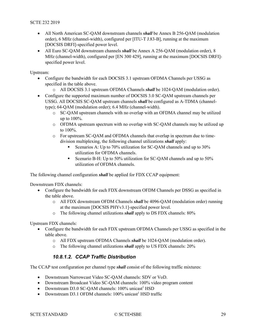- All North American SC-QAM downstream channels *shall* be Annex B 256-QAM (modulation order), 6 MHz (channel-width), configured per [ITU-T J.83-B], running at the maximum [DOCSIS DRFI]-specified power level.
- All Euro SC-QAM downstream channels *shall* be Annex A 256-QAM (modulation order), 8 MHz (channel-width), configured per [EN 300 429], running at the maximum [DOCSIS DRFI] specified power level.

Upstream:

- Configure the bandwidth for each DOCSIS 3.1 upstream OFDMA Channels per USSG as specified in the table above.
	- o All DOCSIS 3.1 upstream OFDMA Channels *shall* be 1024-QAM (modulation order).
- Configure the supported maximum number of DOCSIS 3.0 SC-QAM upstream channels per USSG. All DOCSIS SC-QAM upstream channels *shall* be configured as A-TDMA (channeltype); 64-QAM (modulation order); 6.4 MHz (channel-width).
	- o SC-QAM upstream channels with no overlap with an OFDMA channel may be utilized up to 100%.
	- o OFDMA upstream spectrum with no overlap with SC-QAM channels may be utilized up to 100%.
	- o For upstream SC-QAM and OFDMA channels that overlap in spectrum due to timedivision multiplexing, the following channel utilizations *shall* apply:
		- Scenarios A: Up to 70% utilization for SC-QAM channels and up to 30% utilization for OFDMA channels.
		- Scenario B-H: Up to 50% utilization for SC-QAM channels and up to 50% utilization of OFDMA channels.

The following channel configuration *shall* be applied for FDX CCAP equipment:

Downstream FDX channels:

- Configure the bandwidth for each FDX downstream OFDM Channels per DSSG as specified in the table above.
	- o All FDX downstream OFDM Channels *shall* be 4096-QAM (modulation order) running at the maximum [DOCSIS PHYv3.1]-specified power level.
	- o The following channel utilizations *shall* apply to DS FDX channels: 80%

Upstream FDX channels:

- Configure the bandwidth for each FDX upstream OFDMA Channels per USSG as specified in the table above.
	- o All FDX upstream OFDMA Channels *shall* be 1024-QAM (modulation order).
	- o The following channel utilizations *shall* apply to US FDX channels: 20%

#### *10.8.1.2. CCAP Traffic Distribution*

The CCAP test configuration per channel type *shall* consist of the following traffic mixtures:

- Downstream Narrowcast Video SC-QAM channels: SDV or VoD.
- Downstream Broadcast Video SC-QAM channels: 100% video program content
- Downstream D3.0 SC-OAM channels:  $100\%$  unicast<sup>1</sup> HSD
- Downstream D3.1 OFDM channels:  $100\%$  unicast<sup>1</sup> HSD traffic